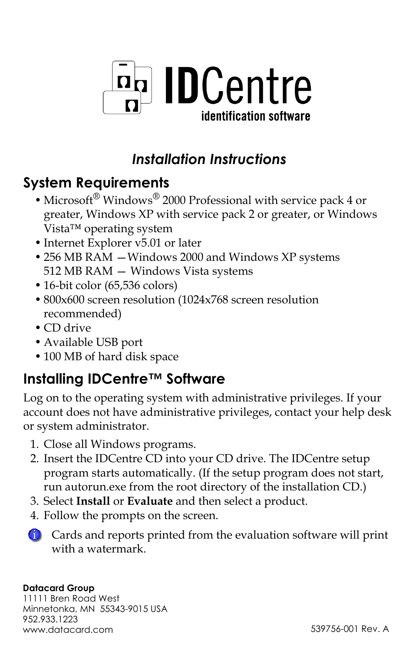

### *Installation Instructions*

#### **System Requirements**

- Microsoft® Windows® 2000 Professional with service pack 4 or greater, Windows XP with service pack 2 or greater, or Windows Vista™ operating system
- Internet Explorer v5.01 or later
- 256 MB RAM —Windows 2000 and Windows XP systems 512 MB RAM — Windows Vista systems
- 16-bit color (65,536 colors)
- 800x600 screen resolution (1024x768 screen resolution recommended)
- CD drive
- Available USB port
- 100 MB of hard disk space

#### **Installing IDCentre™ Software**

Log on to the operating system with administrative privileges. If your account does not have administrative privileges, contact your help desk or system administrator.

- 1. Close all Windows programs.
- 2. Insert the IDCentre CD into your CD drive. The IDCentre setup program starts automatically. (If the setup program does not start, run autorun.exe from the root directory of the installation CD.)
- 3. Select **Install** or **Evaluate** and then select a product.
- 4. Follow the prompts on the screen.

Cards and reports printed from the evaluation software will print with a watermark.

#### **Datacard Group**

11111 Bren Road West Minnetonka, MN 55343-9015 USA 952.933.1223 www.datacard.com 539756-001 Rev. A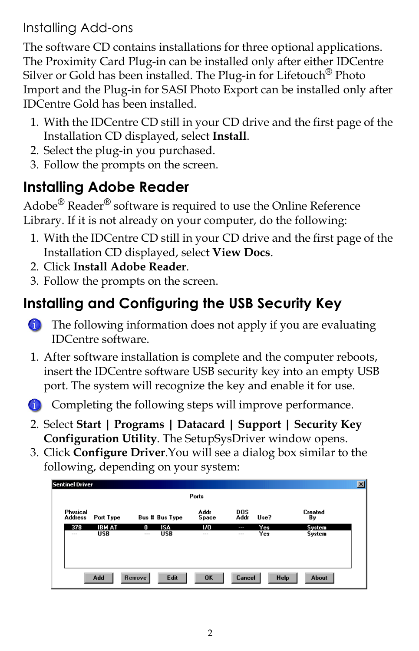Installing Add-ons

The software CD contains installations for three optional applications. The Proximity Card Plug-in can be installed only after either IDCentre Silver or Gold has been installed. The Plug-in for Lifetouch<sup>®</sup> Photo Import and the Plug-in for SASI Photo Export can be installed only after IDCentre Gold has been installed.

- 1. With the IDCentre CD still in your CD drive and the first page of the Installation CD displayed, select **Install**.
- 2. Select the plug-in you purchased.
- 3. Follow the prompts on the screen.

## **Installing Adobe Reader**

Adobe<sup>®</sup> Reader<sup>®</sup> software is required to use the Online Reference Library. If it is not already on your computer, do the following:

- 1. With the IDCentre CD still in your CD drive and the first page of the Installation CD displayed, select **View Docs**.
- 2. Click **Install Adobe Reader**.
- 3. Follow the prompts on the screen.

## **Installing and Configuring the USB Security Key**

- **The following information does not apply if you are evaluating** IDCentre software.
- 1. After software installation is complete and the computer reboots, insert the IDCentre software USB security key into an empty USB port. The system will recognize the key and enable it for use.
- **C** Completing the following steps will improve performance.
- 2. Select **Start | Programs | Datacard | Support | Security Key Configuration Utility**. The SetupSysDriver window opens.
- 3. Click **Configure Driver**.You will see a dialog box similar to the following, depending on your system:

| $\vert x \vert$<br>Sentinel Driver |                                   |                             |                               |                          |               |                           |            |                      |  |
|------------------------------------|-----------------------------------|-----------------------------|-------------------------------|--------------------------|---------------|---------------------------|------------|----------------------|--|
|                                    | Ports                             |                             |                               |                          |               |                           |            |                      |  |
|                                    | <b>Physical</b><br><b>Address</b> | Port Type                   |                               | <b>Bus # Bus Type</b>    | Addr<br>Space | <b>DOS</b><br><b>Addr</b> | Use?       | <b>Created</b><br>Bν |  |
|                                    | 378<br>$\sim$                     | <b>IBM AT</b><br><b>USB</b> | n<br>$\overline{\phantom{a}}$ | <b>ISA</b><br><b>USB</b> | 1/0<br>---    | ļ<br>---                  | Yes<br>Yes | System<br>System     |  |
|                                    |                                   | Add                         | Remove                        | Edit                     | OK            | Cancel                    |            | Help<br>About        |  |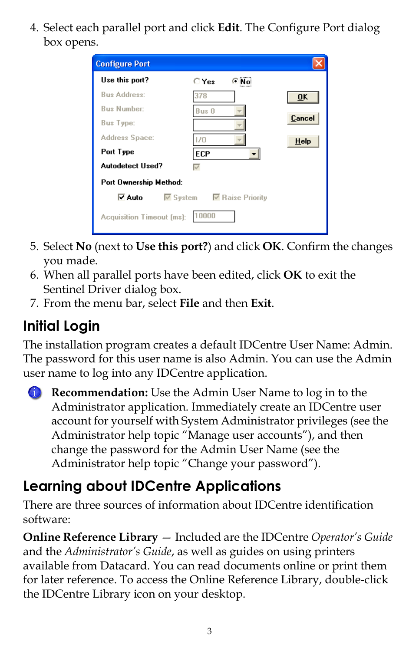4. Select each parallel port and click **Edit**. The Configure Port dialog box opens.

| <b>Configure Port</b>                              |                  |           |  |  |  |  |  |  |
|----------------------------------------------------|------------------|-----------|--|--|--|--|--|--|
| Use this port?                                     | C <sub>Yes</sub> |           |  |  |  |  |  |  |
| <b>Bus Address:</b>                                | 378              | <b>OK</b> |  |  |  |  |  |  |
| <b>Bus Number:</b>                                 | Bus 0            |           |  |  |  |  |  |  |
| <b>Bus Type:</b>                                   |                  | Cancel    |  |  |  |  |  |  |
| Address Space:                                     | 1/0              | Help      |  |  |  |  |  |  |
| Port Type                                          | <b>ECP</b>       |           |  |  |  |  |  |  |
| <b>Autodetect Used?</b>                            | ⊽                |           |  |  |  |  |  |  |
| Port Ownership Method:                             |                  |           |  |  |  |  |  |  |
| l⊽ Auto<br>$\nabla$ System $\nabla$ Raise Priority |                  |           |  |  |  |  |  |  |
| 10000<br>Acquisition Timeout (ms):                 |                  |           |  |  |  |  |  |  |

- 5. Select **No** (next to **Use this port?**) and click **OK**. Confirm the changes you made.
- 6. When all parallel ports have been edited, click **OK** to exit the Sentinel Driver dialog box.
- 7. From the menu bar, select **File** and then **Exit**.

# **Initial Login**

The installation program creates a default IDCentre User Name: Admin. The password for this user name is also Admin. You can use the Admin user name to log into any IDCentre application.

**Recommendation:** Use the Admin User Name to log in to the Administrator application. Immediately create an IDCentre user account for yourself with System Administrator privileges (see the Administrator help topic "Manage user accounts"), and then change the password for the Admin User Name (see the Administrator help topic "Change your password").

### **Learning about IDCentre Applications**

There are three sources of information about IDCentre identification software:

**Online Reference Library** — Included are the IDCentre *Operator's Guide*  and the *Administrator's Guide*, as well as guides on using printers available from Datacard. You can read documents online or print them for later reference. To access the Online Reference Library, double-click the IDCentre Library icon on your desktop.